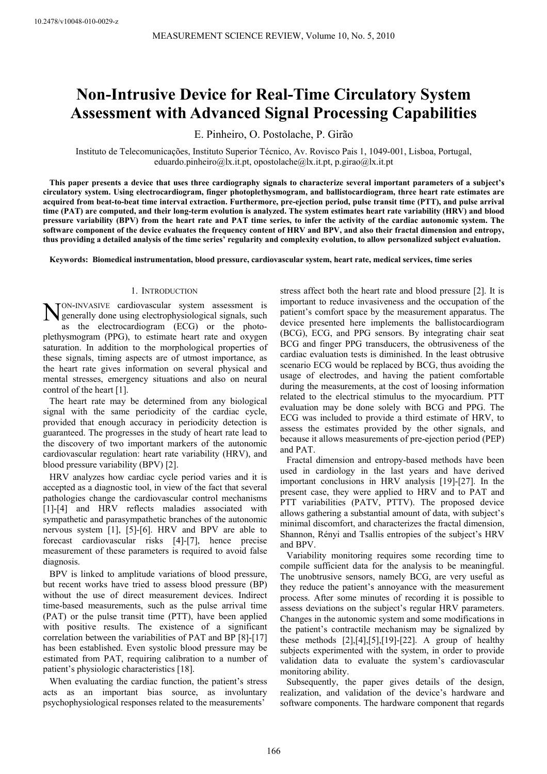# **Non-Intrusive Device for Real-Time Circulatory System Assessment with Advanced Signal Processing Capabilities**

E. Pinheiro, O. Postolache, P. Girão

Instituto de Telecomunicações, Instituto Superior Técnico, Av. Rovisco Pais 1, 1049-001, Lisboa, Portugal, eduardo.pinheiro@lx.it.pt, opostolache@lx.it.pt, p.girao@lx.it.pt

**This paper presents a device that uses three cardiography signals to characterize several important parameters of a subject's circulatory system. Using electrocardiogram, finger photoplethysmogram, and ballistocardiogram, three heart rate estimates are acquired from beat-to-beat time interval extraction. Furthermore, pre-ejection period, pulse transit time (PTT), and pulse arrival time (PAT) are computed, and their long-term evolution is analyzed. The system estimates heart rate variability (HRV) and blood pressure variability (BPV) from the heart rate and PAT time series, to infer the activity of the cardiac autonomic system. The software component of the device evaluates the frequency content of HRV and BPV, and also their fractal dimension and entropy, thus providing a detailed analysis of the time series' regularity and complexity evolution, to allow personalized subject evaluation.** 

**Keywords: Biomedical instrumentation, blood pressure, cardiovascular system, heart rate, medical services, time series** 

# 1. INTRODUCTION

ON ge as the electrocardiogram (ECG) or the photo--INVASIVE cardiovascular system assessment is  $N_{\text{generally}}^{\text{ON-INVASIVE}}$  cardiovascular system assessment is generally done using electrophysiological signals, such  $\sum_{n=1}^{\infty}$ plethysmogram (PPG), to estimate heart rate and oxygen saturation. In addition to the morphological properties of these signals, timing aspects are of utmost importance, as the heart rate gives information on several physical and mental stresses, emergency situations and also on neural control of the heart [1].

The heart rate may be determined from any biological signal with the same periodicity of the cardiac cycle, provided that enough accuracy in periodicity detection is guaranteed. The progresses in the study of heart rate lead to the discovery of two important markers of the autonomic cardiovascular regulation: heart rate variability (HRV), and blood pressure variability (BPV) [2].

HRV analyzes how cardiac cycle period varies and it is accepted as a diagnostic tool, in view of the fact that several pathologies change the cardiovascular control mechanisms [1]-[4] and HRV reflects maladies associated with sympathetic and parasympathetic branches of the autonomic nervous system [1], [5]-[6]. HRV and BPV are able to forecast cardiovascular risks [4]-[7], hence precise measurement of these parameters is required to avoid false diagnosis.

BPV is linked to amplitude variations of blood pressure, but recent works have tried to assess blood pressure (BP) without the use of direct measurement devices. Indirect time-based measurements, such as the pulse arrival time (PAT) or the pulse transit time (PTT), have been applied with positive results. The existence of a significant correlation between the variabilities of PAT and BP [8]-[17] has been established. Even systolic blood pressure may be estimated from PAT, requiring calibration to a number of patient's physiologic characteristics [18].

When evaluating the cardiac function, the patient's stress acts as an important bias source, as involuntary psychophysiological responses related to the measurements'

stress affect both the heart rate and blood pressure [2]. It is important to reduce invasiveness and the occupation of the patient's comfort space by the measurement apparatus. The device presented here implements the ballistocardiogram (BCG), ECG, and PPG sensors. By integrating chair seat BCG and finger PPG transducers, the obtrusiveness of the cardiac evaluation tests is diminished. In the least obtrusive scenario ECG would be replaced by BCG, thus avoiding the usage of electrodes, and having the patient comfortable during the measurements, at the cost of loosing information related to the electrical stimulus to the myocardium. PTT evaluation may be done solely with BCG and PPG. The ECG was included to provide a third estimate of HRV, to assess the estimates provided by the other signals, and because it allows measurements of pre-ejection period (PEP) and PAT.

Fractal dimension and entropy-based methods have been used in cardiology in the last years and have derived important conclusions in HRV analysis [19]-[27]. In the present case, they were applied to HRV and to PAT and PTT variabilities (PATV, PTTV). The proposed device allows gathering a substantial amount of data, with subject's minimal discomfort, and characterizes the fractal dimension, Shannon, Rényi and Tsallis entropies of the subject's HRV and BPV.

Variability monitoring requires some recording time to compile sufficient data for the analysis to be meaningful. The unobtrusive sensors, namely BCG, are very useful as they reduce the patient's annoyance with the measurement process. After some minutes of recording it is possible to assess deviations on the subject's regular HRV parameters. Changes in the autonomic system and some modifications in the patient's contractile mechanism may be signalized by these methods  $[2]$ , $[4]$ , $[5]$ , $[19]$ - $[22]$ . A group of healthy subjects experimented with the system, in order to provide validation data to evaluate the system's cardiovascular monitoring ability.

Subsequently, the paper gives details of the design, realization, and validation of the device's hardware and software components. The hardware component that regards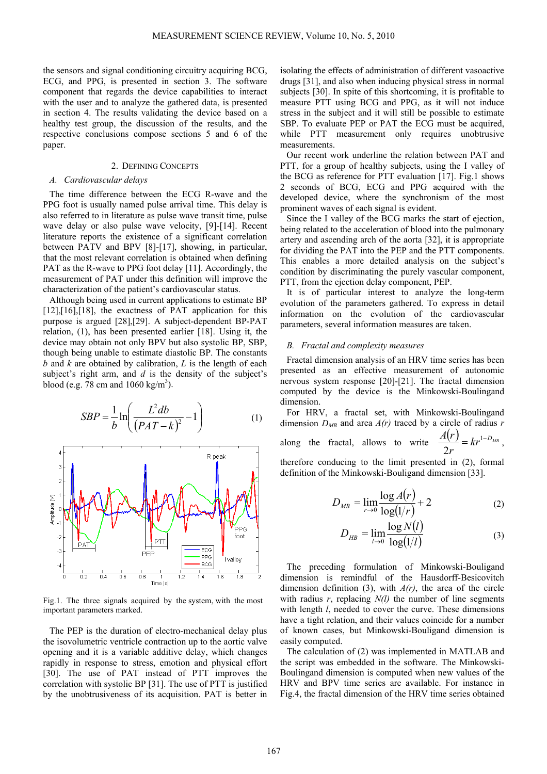the sensors and signal conditioning circuitry acquiring BCG, ECG, and PPG, is presented in section 3. The software component that regards the device capabilities to interact with the user and to analyze the gathered data, is presented in section 4. The results validating the device based on a healthy test group, the discussion of the results, and the respective conclusions compose sections 5 and 6 of the paper.

## 2. DEFINING CONCEPTS

#### *A. Cardiovascular delays*

The time difference between the ECG R-wave and the PPG foot is usually named pulse arrival time. This delay is also referred to in literature as pulse wave transit time, pulse wave delay or also pulse wave velocity, [9]-[14]. Recent literature reports the existence of a significant correlation between PATV and BPV [8]-[17], showing, in particular, that the most relevant correlation is obtained when defining PAT as the R-wave to PPG foot delay [11]. Accordingly, the measurement of PAT under this definition will improve the characterization of the patient's cardiovascular status.

Although being used in current applications to estimate BP  $[12]$ , $[16]$ , $[18]$ , the exactness of PAT application for this purpose is argued [28],[29]. A subject-dependent BP-PAT relation, (1), has been presented earlier [18]. Using it, the device may obtain not only BPV but also systolic BP, SBP, though being unable to estimate diastolic BP. The constants *b* and *k* are obtained by calibration, *L* is the length of each subject's right arm, and *d* is the density of the subject's blood (e.g.  $78 \text{ cm}$  and  $1060 \text{ kg/m}^3$ ).

$$
SBP = \frac{1}{b} \ln \left( \frac{L^2 db}{\left( PAT - k \right)^2} - 1 \right) \tag{1}
$$



Fig.1. The three signals acquired by the system, with the most important parameters marked.

The PEP is the duration of electro-mechanical delay plus the isovolumetric ventricle contraction up to the aortic valve opening and it is a variable additive delay, which changes rapidly in response to stress, emotion and physical effort [30]. The use of PAT instead of PTT improves the correlation with systolic BP [31]. The use of PTT is justified by the unobtrusiveness of its acquisition. PAT is better in isolating the effects of administration of different vasoactive drugs [31], and also when inducing physical stress in normal subjects [30]. In spite of this shortcoming, it is profitable to measure PTT using BCG and PPG, as it will not induce stress in the subject and it will still be possible to estimate SBP. To evaluate PEP or PAT the ECG must be acquired, while PTT measurement only requires unobtrusive measurements.

Our recent work underline the relation between PAT and PTT, for a group of healthy subjects, using the I valley of the BCG as reference for PTT evaluation [17]. Fig.1 shows 2 seconds of BCG, ECG and PPG acquired with the developed device, where the synchronism of the most prominent waves of each signal is evident.

Since the I valley of the BCG marks the start of ejection, being related to the acceleration of blood into the pulmonary artery and ascending arch of the aorta [32], it is appropriate for dividing the PAT into the PEP and the PTT components. This enables a more detailed analysis on the subject's condition by discriminating the purely vascular component, PTT, from the ejection delay component, PEP.

It is of particular interest to analyze the long-term evolution of the parameters gathered. To express in detail information on the evolution of the cardiovascular parameters, several information measures are taken.

# *B. Fractal and complexity measures*

Fractal dimension analysis of an HRV time series has been presented as an effective measurement of autonomic nervous system response [20]-[21]. The fractal dimension computed by the device is the Minkowski-Boulingand dimension.

For HRV, a fractal set, with Minkowski-Boulingand dimension  $D_{MB}$  and area  $A(r)$  traced by a circle of radius  $r$ along the fractal, allows to write  $\frac{A(r)}{2} = kr^{1-D_{MB}}$ *r*  $\frac{A(r)}{2} = kr^{1-1}$  $\frac{2V}{2r} = kr^{1-D_{MB}}$ , therefore conducing to the limit presented in (2), formal definition of the Minkowski-Bouligand dimension [33].

$$
D_{MB} = \lim_{r \to 0} \frac{\log A(r)}{\log(1/r)} + 2
$$
 (2)

$$
D_{HB} = \lim_{l \to 0} \frac{\log N(l)}{\log(l/l)}
$$
(3)

The preceding formulation of Minkowski-Bouligand dimension is remindful of the Hausdorff-Besicovitch dimension definition (3), with *A(r)*, the area of the circle with radius *r*, replacing *N(l)* the number of line segments with length *l*, needed to cover the curve. These dimensions have a tight relation, and their values coincide for a number of known cases, but Minkowski-Bouligand dimension is easily computed.

The calculation of (2) was implemented in MATLAB and the script was embedded in the software. The Minkowski-Boulingand dimension is computed when new values of the HRV and BPV time series are available. For instance in Fig.4, the fractal dimension of the HRV time series obtained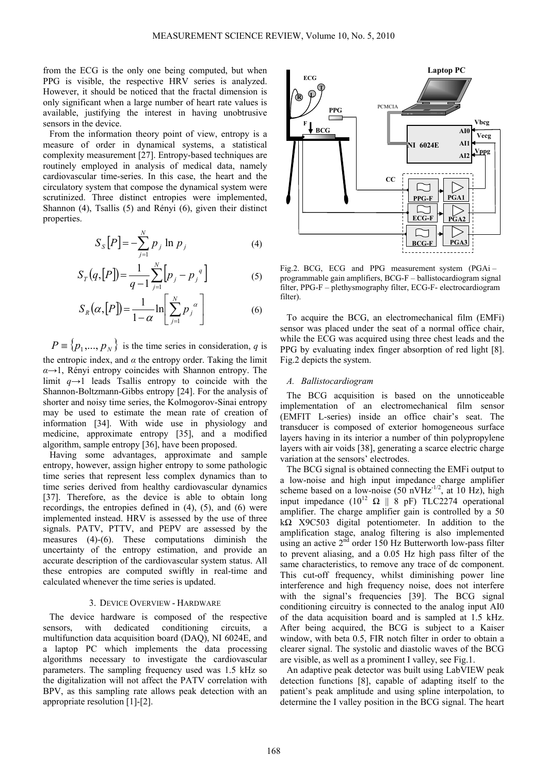from the ECG is the only one being computed, but when PPG is visible, the respective HRV series is analyzed. However, it should be noticed that the fractal dimension is only significant when a large number of heart rate values is available, justifying the interest in having unobtrusive sensors in the device.

From the information theory point of view, entropy is a measure of order in dynamical systems, a statistical complexity measurement [27]. Entropy-based techniques are routinely employed in analysis of medical data, namely cardiovascular time-series. In this case, the heart and the circulatory system that compose the dynamical system were scrutinized. Three distinct entropies were implemented, Shannon (4), Tsallis (5) and Rényi (6), given their distinct properties.

$$
S_{S}[P] = -\sum_{j=1}^{N} p_{j} \ln p_{j} \tag{4}
$$

$$
S_T(q, [P]) = \frac{1}{q-1} \sum_{j=1}^{N} [p_j - p_j^q]
$$
 (5)

$$
S_R(\alpha, [P]) = \frac{1}{1 - \alpha} \ln \left[ \sum_{j=1}^N p_j^{\alpha} \right]
$$
 (6)

 ${P} \equiv \{p_1,..., p_N\}$  is the time series in consideration, *q* is the entropic index, and  $\alpha$  the entropy order. Taking the limit *α*→1, Rényi entropy coincides with Shannon entropy. The limit *q*→1 leads Tsallis entropy to coincide with the Shannon-Boltzmann-Gibbs entropy [24]. For the analysis of shorter and noisy time series, the Kolmogorov-Sinai entropy may be used to estimate the mean rate of creation of information [34]. With wide use in physiology and medicine, approximate entropy [35], and a modified algorithm, sample entropy [36], have been proposed.

Having some advantages, approximate and sample entropy, however, assign higher entropy to some pathologic time series that represent less complex dynamics than to time series derived from healthy cardiovascular dynamics [37]. Therefore, as the device is able to obtain long recordings, the entropies defined in (4), (5), and (6) were implemented instead. HRV is assessed by the use of three signals. PATV, PTTV, and PEPV are assessed by the measures (4)-(6). These computations diminish the uncertainty of the entropy estimation, and provide an accurate description of the cardiovascular system status. All these entropies are computed swiftly in real-time and calculated whenever the time series is updated.

#### 3. DEVICE OVERVIEW - HARDWARE

The device hardware is composed of the respective sensors, with dedicated conditioning circuits, a multifunction data acquisition board (DAQ), NI 6024E, and a laptop PC which implements the data processing algorithms necessary to investigate the cardiovascular parameters. The sampling frequency used was 1.5 kHz so the digitalization will not affect the PATV correlation with BPV, as this sampling rate allows peak detection with an appropriate resolution [1]-[2].



Fig.2. BCG, ECG and PPG measurement system (PGAi – programmable gain amplifiers, BCG-F – ballistocardiogram signal filter, PPG-F – plethysmography filter, ECG-F- electrocardiogram filter).

To acquire the BCG, an electromechanical film (EMFi) sensor was placed under the seat of a normal office chair, while the ECG was acquired using three chest leads and the PPG by evaluating index finger absorption of red light [8]. Fig.2 depicts the system.

## *A. Ballistocardiogram*

The BCG acquisition is based on the unnoticeable implementation of an electromechanical film sensor (EMFIT L-series) inside an office chair's seat. The transducer is composed of exterior homogeneous surface layers having in its interior a number of thin polypropylene layers with air voids [38], generating a scarce electric charge variation at the sensors' electrodes.

The BCG signal is obtained connecting the EMFi output to a low-noise and high input impedance charge amplifier scheme based on a low-noise  $(50 \text{ nV} \text{Hz}^{-1/2})$ , at 10 Hz), high input impedance  $(10^{12} \Omega \parallel 8 \text{ pF})$  TLC2274 operational amplifier. The charge amplifier gain is controlled by a 50 kΩ X9C503 digital potentiometer. In addition to the amplification stage, analog filtering is also implemented using an active  $2<sup>nd</sup>$  order 150 Hz Butterworth low-pass filter to prevent aliasing, and a 0.05 Hz high pass filter of the same characteristics, to remove any trace of dc component. This cut-off frequency, whilst diminishing power line interference and high frequency noise, does not interfere with the signal's frequencies [39]. The BCG signal conditioning circuitry is connected to the analog input AI0 of the data acquisition board and is sampled at 1.5 kHz. After being acquired, the BCG is subject to a Kaiser window, with beta 0.5, FIR notch filter in order to obtain a clearer signal. The systolic and diastolic waves of the BCG are visible, as well as a prominent I valley, see Fig.1.

An adaptive peak detector was built using LabVIEW peak detection functions [8], capable of adapting itself to the patient's peak amplitude and using spline interpolation, to determine the I valley position in the BCG signal. The heart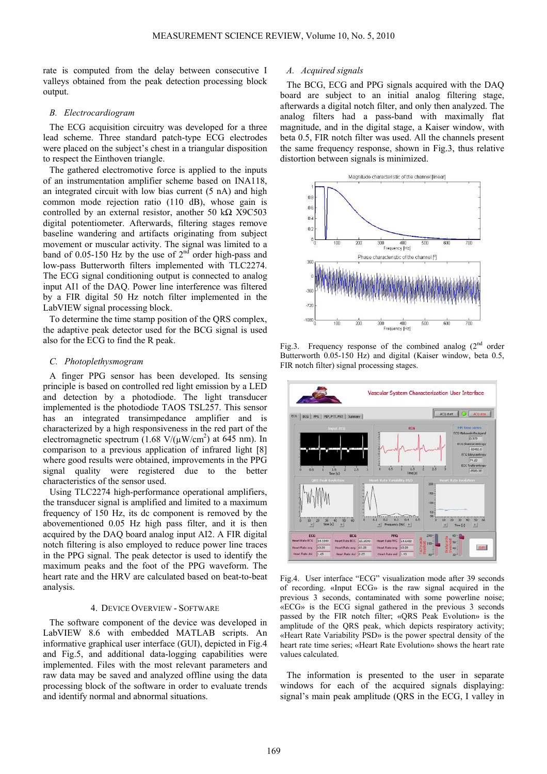rate is computed from the delay between consecutive I valleys obtained from the peak detection processing block output.

## *B. Electrocardiogram*

The ECG acquisition circuitry was developed for a three lead scheme. Three standard patch-type ECG electrodes were placed on the subject's chest in a triangular disposition to respect the Einthoven triangle.

The gathered electromotive force is applied to the inputs of an instrumentation amplifier scheme based on INA118, an integrated circuit with low bias current (5 nA) and high common mode rejection ratio (110 dB), whose gain is controlled by an external resistor, another 50 kΩ X9C503 digital potentiometer. Afterwards, filtering stages remove baseline wandering and artifacts originating from subject movement or muscular activity. The signal was limited to a band of 0.05-150 Hz by the use of  $2<sup>nd</sup>$  order high-pass and low-pass Butterworth filters implemented with TLC2274. The ECG signal conditioning output is connected to analog input AI1 of the DAQ. Power line interference was filtered by a FIR digital 50 Hz notch filter implemented in the LabVIEW signal processing block.

To determine the time stamp position of the QRS complex, the adaptive peak detector used for the BCG signal is used also for the ECG to find the R peak.

## *C. Photoplethysmogram*

A finger PPG sensor has been developed. Its sensing principle is based on controlled red light emission by a LED and detection by a photodiode. The light transducer implemented is the photodiode TAOS TSL257. This sensor has an integrated transimpedance amplifier and is characterized by a high responsiveness in the red part of the electromagnetic spectrum  $(1.68 \text{ V}/(\mu\text{W/cm}^2)$  at 645 nm). In comparison to a previous application of infrared light [8] where good results were obtained, improvements in the PPG signal quality were registered due to the better characteristics of the sensor used.

Using TLC2274 high-performance operational amplifiers, the transducer signal is amplified and limited to a maximum frequency of 150 Hz, its dc component is removed by the abovementioned 0.05 Hz high pass filter, and it is then acquired by the DAQ board analog input AI2. A FIR digital notch filtering is also employed to reduce power line traces in the PPG signal. The peak detector is used to identify the maximum peaks and the foot of the PPG waveform. The heart rate and the HRV are calculated based on beat-to-beat analysis.

## 4. DEVICE OVERVIEW - SOFTWARE

The software component of the device was developed in LabVIEW 8.6 with embedded MATLAB scripts. An informative graphical user interface (GUI), depicted in Fig.4 and Fig.5, and additional data-logging capabilities were implemented. Files with the most relevant parameters and raw data may be saved and analyzed offline using the data processing block of the software in order to evaluate trends and identify normal and abnormal situations.

## *A. Acquired signals*

The BCG, ECG and PPG signals acquired with the DAQ board are subject to an initial analog filtering stage, afterwards a digital notch filter, and only then analyzed. The analog filters had a pass-band with maximally flat magnitude, and in the digital stage, a Kaiser window, with beta 0.5, FIR notch filter was used. All the channels present the same frequency response, shown in Fig.3, thus relative distortion between signals is minimized.



Fig.3. Frequency response of the combined analog  $(2<sup>nd</sup> order)$ Butterworth 0.05-150 Hz) and digital (Kaiser window, beta 0.5, FIR notch filter) signal processing stages.



Fig.4. User interface "ECG" visualization mode after 39 seconds of recording. «Input ECG» is the raw signal acquired in the previous 3 seconds, contaminated with some powerline noise; «ECG» is the ECG signal gathered in the previous 3 seconds passed by the FIR notch filter; «QRS Peak Evolution» is the amplitude of the QRS peak, which depicts respiratory activity; «Heart Rate Variability PSD» is the power spectral density of the heart rate time series; «Heart Rate Evolution» shows the heart rate values calculated.

The information is presented to the user in separate windows for each of the acquired signals displaying: signal's main peak amplitude (QRS in the ECG, I valley in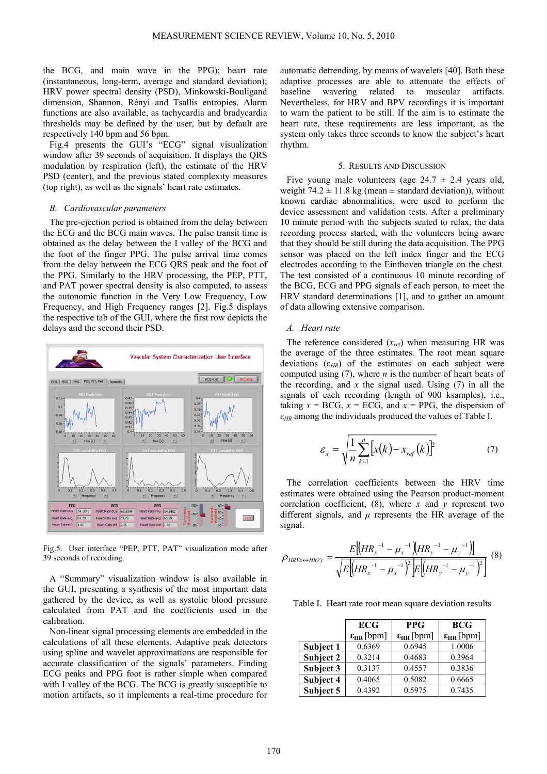the BCG, and main wave in the PPG); heart rate (instantaneous, long-term, average and standard deviation); HRV power spectral density (PSD), Minkowski-Bouligand dimension, Shannon, Rényi and Tsallis entropies. Alarm functions are also available, as tachycardia and bradycardia thresholds may be defined by the user, but by default are respectively 140 bpm and 56 bpm.

Fig.4 presents the GUI's "ECG" signal visualization window after 39 seconds of acquisition. It displays the QRS modulation by respiration (left), the estimate of the HRV PSD (center), and the previous stated complexity measures (top right), as well as the signals' heart rate estimates.

#### *B. Cardiovascular parameters*

The pre-ejection period is obtained from the delay between the ECG and the BCG main waves. The pulse transit time is obtained as the delay between the I valley of the BCG and the foot of the finger PPG. The pulse arrival time comes from the delay between the ECG QRS peak and the foot of the PPG. Similarly to the HRV processing, the PEP, PTT, and PAT power spectral density is also computed, to assess the autonomic function in the Very Low Frequency, Low Frequency, and High Frequency ranges [2]. Fig.5 displays the respective tab of the GUI, where the first row depicts the delays and the second their PSD.



Fig.5. User interface "PEP, PTT, PAT" visualization mode after 39 seconds of recording.

A "Summary" visualization window is also available in the GUI, presenting a synthesis of the most important data gathered by the device, as well as systolic blood pressure calculated from PAT and the coefficients used in the calibration.

Non-linear signal processing elements are embedded in the calculations of all these elements. Adaptive peak detectors using spline and wavelet approximations are responsible for accurate classification of the signals' parameters. Finding ECG peaks and PPG foot is rather simple when compared with I valley of the BCG. The BCG is greatly susceptible to motion artifacts, so it implements a real-time procedure for

automatic detrending, by means of wavelets [40]. Both these adaptive processes are able to attenuate the effects of baseline wavering related to muscular artifacts. Nevertheless, for HRV and BPV recordings it is important to warn the patient to be still. If the aim is to estimate the heart rate, these requirements are less important, as the system only takes three seconds to know the subject's heart rhythm.

#### 5. RESULTS AND DISCUSSION

Five young male volunteers (age  $24.7 \pm 2.4$  years old, weight  $74.2 \pm 11.8$  kg (mean  $\pm$  standard deviation)), without known cardiac abnormalities, were used to perform the device assessment and validation tests. After a preliminary 10 minute period with the subjects seated to relax, the data recording process started, with the volunteers being aware that they should be still during the data acquisition. The PPG sensor was placed on the left index finger and the ECG electrodes according to the Einthoven triangle on the chest. The test consisted of a continuous 10 minute recording of the BCG, ECG and PPG signals of each person, to meet the HRV standard determinations [1], and to gather an amount of data allowing extensive comparison.

## *A. Heart rate*

The reference considered (*xref*) when measuring HR was the average of the three estimates. The root mean square deviations (ε*HR*) of the estimates on each subject were computed using (7), where *n* is the number of heart beats of the recording, and *x* the signal used. Using (7) in all the signals of each recording (length of 900 ksamples), i.e., taking  $x = BCG$ ,  $x = ECG$ , and  $x = PPG$ , the dispersion of ε*HR* among the individuals produced the values of Table I.

$$
\varepsilon_x = \sqrt{\frac{1}{n} \sum_{k=1}^{n} \left[ x(k) - x_{ref}(k) \right]^2}
$$
 (7)

The correlation coefficients between the HRV time estimates were obtained using the Pearson product-moment correlation coefficient, (8), where *x* and *y* represent two different signals, and *μ* represents the HR average of the signal.

$$
\rho_{HRVx \leftrightarrow HRVy} = \frac{E[(HR_x^{-1} - \mu_x^{-1})(HR_y^{-1} - \mu_y^{-1})]}{\sqrt{E[(HR_x^{-1} - \mu_x^{-1})^2]E[(HR_y^{-1} - \mu_y^{-1})^2]}} \tag{8}
$$

Table I. Heart rate root mean square deviation results

|           | <b>ECG</b>            | <b>PPG</b>            | <b>BCG</b>            |  |
|-----------|-----------------------|-----------------------|-----------------------|--|
|           | $\epsilon_{HR}$ [bpm] | $\epsilon_{HR}$ [bpm] | $\epsilon_{HR}$ [bpm] |  |
| Subject 1 | 0.6369                | 0.6945                | 1.0006                |  |
| Subject 2 | 0.3214                | 0.4683                | 0.3964                |  |
| Subject 3 | 0.3137                | 0.4557                | 0.3836                |  |
| Subject 4 | 0.4065                | 0.5082                | 0.6665                |  |
| Subject 5 | 0.4392                | 0.5975                | 0.7435                |  |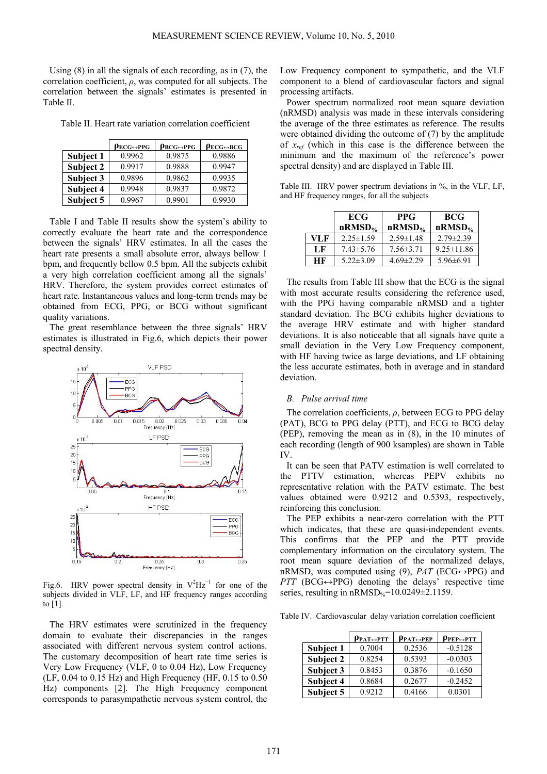Using (8) in all the signals of each recording, as in (7), the correlation coefficient, *ρ*, was computed for all subjects. The correlation between the signals' estimates is presented in Table II.

Table II. Heart rate variation correlation coefficient

|           | $\rho_{ECG \leftrightarrow PPG}$ | $\rho_{BCG \leftrightarrow PPG}$ | $\rho_{ECG \leftrightarrow BCG}$ |
|-----------|----------------------------------|----------------------------------|----------------------------------|
| Subject 1 | 0.9962                           | 0.9875                           | 0.9886                           |
| Subject 2 | 0.9917                           | 0.9888                           | 0.9947                           |
| Subject 3 | 0.9896                           | 0.9862                           | 0.9935                           |
| Subject 4 | 0.9948                           | 0.9837                           | 0.9872                           |
| Subject 5 | 0.9967                           | 0.9901                           | 0.9930                           |

Table I and Table II results show the system's ability to correctly evaluate the heart rate and the correspondence between the signals' HRV estimates. In all the cases the heart rate presents a small absolute error, always bellow 1 bpm, and frequently bellow 0.5 bpm. All the subjects exhibit a very high correlation coefficient among all the signals' HRV. Therefore, the system provides correct estimates of heart rate. Instantaneous values and long-term trends may be obtained from ECG, PPG, or BCG without significant quality variations.

The great resemblance between the three signals' HRV estimates is illustrated in Fig.6, which depicts their power spectral density.



Fig.6. HRV power spectral density in  $V^2 Hz^{-1}$  for one of the subjects divided in VLF, LF, and HF frequency ranges according to [1].

The HRV estimates were scrutinized in the frequency domain to evaluate their discrepancies in the ranges associated with different nervous system control actions. The customary decomposition of heart rate time series is Very Low Frequency (VLF, 0 to 0.04 Hz), Low Frequency (LF, 0.04 to 0.15 Hz) and High Frequency (HF, 0.15 to 0.50 Hz) components [2]. The High Frequency component corresponds to parasympathetic nervous system control, the

Low Frequency component to sympathetic, and the VLF component to a blend of cardiovascular factors and signal processing artifacts.

Power spectrum normalized root mean square deviation (nRMSD) analysis was made in these intervals considering the average of the three estimates as reference. The results were obtained dividing the outcome of (7) by the amplitude of *xref* (which in this case is the difference between the minimum and the maximum of the reference's power spectral density) and are displayed in Table III.

Table III. HRV power spectrum deviations in %, in the VLF, LF, and HF frequency ranges, for all the subjects

|     | <b>ECG</b><br>$nRMSD_{\%}$ | <b>PPG</b><br>$nRMSD_{\%}$ | <b>BCG</b><br>$nRMSD_{\%}$ |
|-----|----------------------------|----------------------------|----------------------------|
| VLF | $2.25 \pm 1.59$            | $2.59 \pm 1.48$            | $2.79 \pm 2.39$            |
| LF  | $7.43 \pm 5.76$            | $7.56 \pm 3.71$            | $9.25 \pm 11.86$           |
| НF  | $5.22 \pm 3.09$            | $4.69 \pm 2.29$            | $5.96 \pm 6.91$            |

The results from Table III show that the ECG is the signal with most accurate results considering the reference used, with the PPG having comparable nRMSD and a tighter standard deviation. The BCG exhibits higher deviations to the average HRV estimate and with higher standard deviations. It is also noticeable that all signals have quite a small deviation in the Very Low Frequency component, with HF having twice as large deviations, and LF obtaining the less accurate estimates, both in average and in standard deviation.

## *B. Pulse arrival time*

The correlation coefficients, *ρ*, between ECG to PPG delay (PAT), BCG to PPG delay (PTT), and ECG to BCG delay (PEP), removing the mean as in (8), in the 10 minutes of each recording (length of 900 ksamples) are shown in Table IV.

It can be seen that PATV estimation is well correlated to the PTTV estimation, whereas PEPV exhibits no representative relation with the PATV estimate. The best values obtained were 0.9212 and 0.5393, respectively, reinforcing this conclusion.

The PEP exhibits a near-zero correlation with the PTT which indicates, that these are quasi-independent events. This confirms that the PEP and the PTT provide complementary information on the circulatory system. The root mean square deviation of the normalized delays, nRMSD, was computed using (9),  $PAT$  (ECG $\leftrightarrow$ PPG) and  $PTT$  (BCG $\leftrightarrow$ PPG) denoting the delays' respective time series, resulting in  $nRMSD_{\%}=10.0249\pm2.1159$ .

Table IV. Cardiovascular delay variation correlation coefficient

|           | $\rho_{\text{PAT}\leftrightarrow\text{PTT}}$ | $\rho_{\text{PAT} \leftrightarrow \text{PEP}}$ | $\rho_{PEP \leftrightarrow PTT}$ |
|-----------|----------------------------------------------|------------------------------------------------|----------------------------------|
| Subject 1 | 0.7004                                       | 0.2536                                         | $-0.5128$                        |
| Subject 2 | 0.8254                                       | 0.5393                                         | $-0.0303$                        |
| Subject 3 | 0.8453                                       | 0.3876                                         | $-0.1650$                        |
| Subject 4 | 0.8684                                       | 0.2677                                         | $-0.2452$                        |
| Subject 5 | 0.9212                                       | 0.4166                                         | 0.0301                           |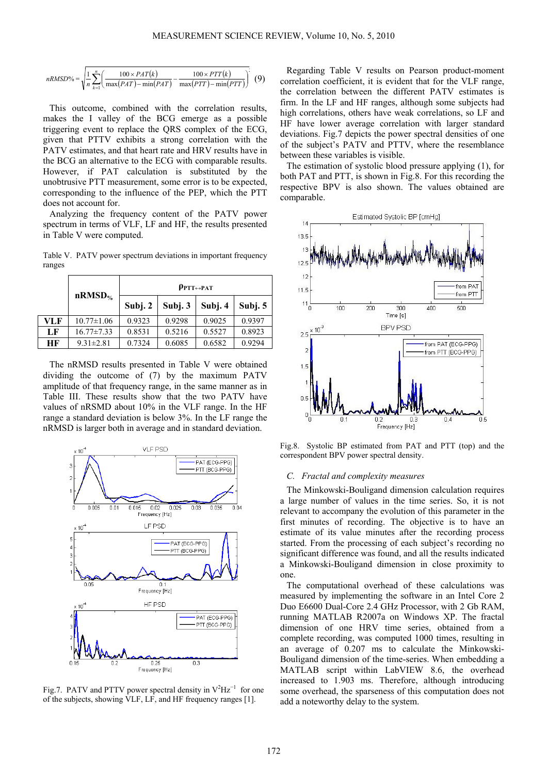$$
nRMSD\% = \sqrt{\frac{1}{n} \sum_{k=1}^{n} \left( \frac{100 \times PAT(k)}{\max(PAT) - \min(PAT)} - \frac{100 \times PTT(k)}{\max(PTT) - \min(PTT)} \right)} (9)
$$

This outcome, combined with the correlation results, makes the I valley of the BCG emerge as a possible triggering event to replace the QRS complex of the ECG, given that PTTV exhibits a strong correlation with the PATV estimates, and that heart rate and HRV results have in the BCG an alternative to the ECG with comparable results. However, if PAT calculation is substituted by the unobtrusive PTT measurement, some error is to be expected, corresponding to the influence of the PEP, which the PTT does not account for.

Analyzing the frequency content of the PATV power spectrum in terms of VLF, LF and HF, the results presented in Table V were computed.

Table V. PATV power spectrum deviations in important frequency ranges

|     |                  | $\rho_{\text{PTT}\leftrightarrow\text{PAT}}$ |         |         |         |
|-----|------------------|----------------------------------------------|---------|---------|---------|
|     | $nRMSD\%$        | Subj. 2                                      | Subj. 3 | Subj. 4 | Subj. 5 |
| VLF | $10.77 \pm 1.06$ | 0.9323                                       | 0.9298  | 0.9025  | 0.9397  |
| LF  | $16.77 \pm 7.33$ | 0.8531                                       | 0.5216  | 0.5527  | 0.8923  |
| НF  | $9.31 \pm 2.81$  | 0.7324                                       | 0.6085  | 0.6582  | 0.9294  |

The nRMSD results presented in Table V were obtained dividing the outcome of (7) by the maximum PATV amplitude of that frequency range, in the same manner as in Table III. These results show that the two PATV have values of nRSMD about 10% in the VLF range. In the HF range a standard deviation is below 3%. In the LF range the nRMSD is larger both in average and in standard deviation.



Fig.7. PATV and PTTV power spectral density in  $V^2 Hz^{-1}$  for one of the subjects, showing VLF, LF, and HF frequency ranges [1].

Regarding Table V results on Pearson product-moment correlation coefficient, it is evident that for the VLF range, the correlation between the different PATV estimates is firm. In the LF and HF ranges, although some subjects had high correlations, others have weak correlations, so LF and HF have lower average correlation with larger standard deviations. Fig.7 depicts the power spectral densities of one of the subject's PATV and PTTV, where the resemblance between these variables is visible.

The estimation of systolic blood pressure applying (1), for both PAT and PTT, is shown in Fig.8. For this recording the respective BPV is also shown. The values obtained are comparable.



Fig.8. Systolic BP estimated from PAT and PTT (top) and the correspondent BPV power spectral density.

#### *C. Fractal and complexity measures*

The Minkowski-Bouligand dimension calculation requires a large number of values in the time series. So, it is not relevant to accompany the evolution of this parameter in the first minutes of recording. The objective is to have an estimate of its value minutes after the recording process started. From the processing of each subject's recording no significant difference was found, and all the results indicated a Minkowski-Bouligand dimension in close proximity to one.

The computational overhead of these calculations was measured by implementing the software in an Intel Core 2 Duo E6600 Dual-Core 2.4 GHz Processor, with 2 Gb RAM, running MATLAB R2007a on Windows XP. The fractal dimension of one HRV time series, obtained from a complete recording, was computed 1000 times, resulting in an average of 0.207 ms to calculate the Minkowski-Bouligand dimension of the time-series. When embedding a MATLAB script within LabVIEW 8.6, the overhead increased to 1.903 ms. Therefore, although introducing some overhead, the sparseness of this computation does not add a noteworthy delay to the system.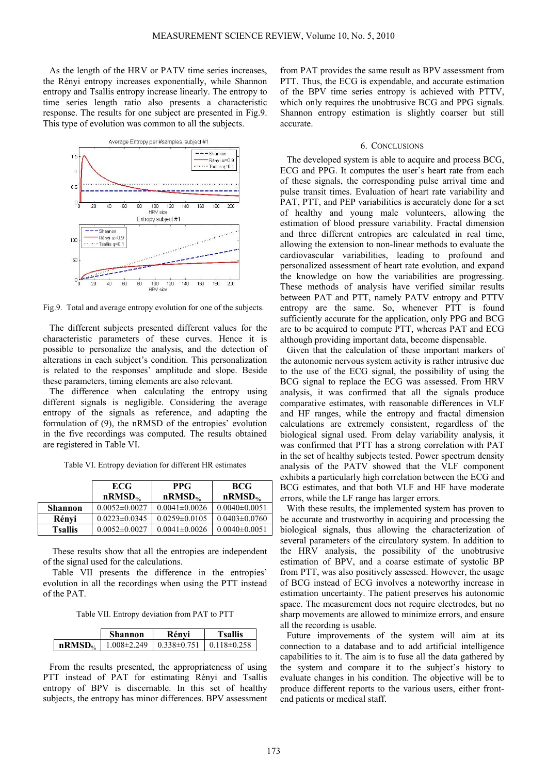As the length of the HRV or PATV time series increases, the Rényi entropy increases exponentially, while Shannon entropy and Tsallis entropy increase linearly. The entropy to time series length ratio also presents a characteristic response. The results for one subject are presented in Fig.9. This type of evolution was common to all the subjects.



Fig.9. Total and average entropy evolution for one of the subjects.

The different subjects presented different values for the characteristic parameters of these curves. Hence it is possible to personalize the analysis, and the detection of alterations in each subject's condition. This personalization is related to the responses' amplitude and slope. Beside these parameters, timing elements are also relevant.

The difference when calculating the entropy using different signals is negligible. Considering the average entropy of the signals as reference, and adapting the formulation of (9), the nRMSD of the entropies' evolution in the five recordings was computed. The results obtained are registered in Table VI.

Table VI. Entropy deviation for different HR estimates

|                | <b>ECG</b>          | <b>PPG</b>          | <b>BCG</b>          |
|----------------|---------------------|---------------------|---------------------|
|                | $nRMSD_{\%}$        | $nRMSD%$            | $nRMSD%$            |
| <b>Shannon</b> | $0.0052 \pm 0.0027$ | $0.0041 \pm 0.0026$ | $0.0040\pm0.0051$   |
| Rényi          | $0.0223 \pm 0.0345$ | $0.0259 \pm 0.0105$ | $0.0403 \pm 0.0760$ |
| <b>Tsallis</b> | $0.0052 \pm 0.0027$ | $0.0041 \pm 0.0026$ | $0.0040\pm0.0051$   |

These results show that all the entropies are independent of the signal used for the calculations.

Table VII presents the difference in the entropies' evolution in all the recordings when using the PTT instead of the PAT.

Table VII. Entropy deviation from PAT to PTT

|              | Shannon | Rénvi                             | Tsallis           |
|--------------|---------|-----------------------------------|-------------------|
| $nRMSD_{\%}$ |         | $1.008\pm2.249$   $0.338\pm0.751$ | $0.118 \pm 0.258$ |

From the results presented, the appropriateness of using PTT instead of PAT for estimating Rényi and Tsallis entropy of BPV is discernable. In this set of healthy subjects, the entropy has minor differences. BPV assessment

from PAT provides the same result as BPV assessment from PTT. Thus, the ECG is expendable, and accurate estimation of the BPV time series entropy is achieved with PTTV, which only requires the unobtrusive BCG and PPG signals. Shannon entropy estimation is slightly coarser but still accurate.

## 6. CONCLUSIONS

The developed system is able to acquire and process BCG, ECG and PPG. It computes the user's heart rate from each of these signals, the corresponding pulse arrival time and pulse transit times. Evaluation of heart rate variability and PAT, PTT, and PEP variabilities is accurately done for a set of healthy and young male volunteers, allowing the estimation of blood pressure variability. Fractal dimension and three different entropies are calculated in real time, allowing the extension to non-linear methods to evaluate the cardiovascular variabilities, leading to profound and personalized assessment of heart rate evolution, and expand the knowledge on how the variabilities are progressing. These methods of analysis have verified similar results between PAT and PTT, namely PATV entropy and PTTV entropy are the same. So, whenever PTT is found sufficiently accurate for the application, only PPG and BCG are to be acquired to compute PTT, whereas PAT and ECG although providing important data, become dispensable.

Given that the calculation of these important markers of the autonomic nervous system activity is rather intrusive due to the use of the ECG signal, the possibility of using the BCG signal to replace the ECG was assessed. From HRV analysis, it was confirmed that all the signals produce comparative estimates, with reasonable differences in VLF and HF ranges, while the entropy and fractal dimension calculations are extremely consistent, regardless of the biological signal used. From delay variability analysis, it was confirmed that PTT has a strong correlation with PAT in the set of healthy subjects tested. Power spectrum density analysis of the PATV showed that the VLF component exhibits a particularly high correlation between the ECG and BCG estimates, and that both VLF and HF have moderate errors, while the LF range has larger errors.

With these results, the implemented system has proven to be accurate and trustworthy in acquiring and processing the biological signals, thus allowing the characterization of several parameters of the circulatory system. In addition to the HRV analysis, the possibility of the unobtrusive estimation of BPV, and a coarse estimate of systolic BP from PTT, was also positively assessed. However, the usage of BCG instead of ECG involves a noteworthy increase in estimation uncertainty. The patient preserves his autonomic space. The measurement does not require electrodes, but no sharp movements are allowed to minimize errors, and ensure all the recording is usable.

Future improvements of the system will aim at its connection to a database and to add artificial intelligence capabilities to it. The aim is to fuse all the data gathered by the system and compare it to the subject's history to evaluate changes in his condition. The objective will be to produce different reports to the various users, either frontend patients or medical staff.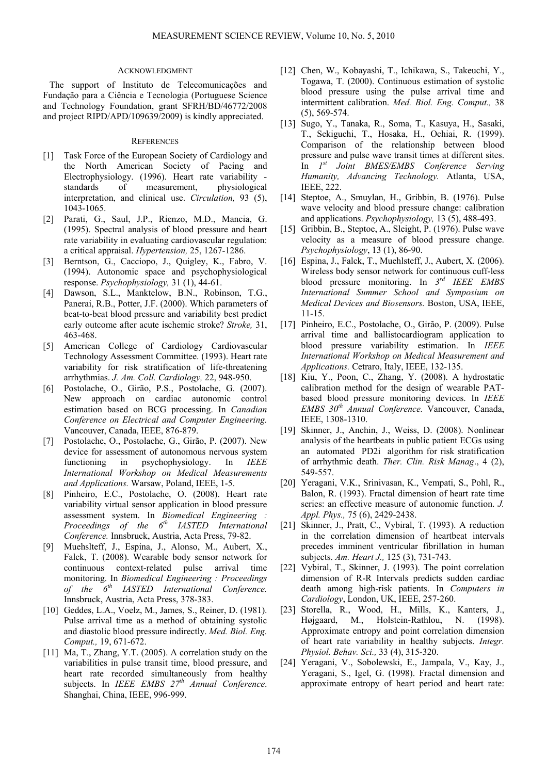## ACKNOWLEDGMENT

The support of Instituto de Telecomunicações and Fundação para a Ciência e Tecnologia (Portuguese Science and Technology Foundation, grant SFRH/BD/46772/2008 and project RIPD/APD/109639/2009) is kindly appreciated.

## **REFERENCES**

- [1] Task Force of the European Society of Cardiology and the North American Society of Pacing and Electrophysiology. (1996). Heart rate variability standards of measurement, physiological interpretation, and clinical use. *Circulation,* 93 (5), 1043-1065.
- [2] Parati, G., Saul, J.P., Rienzo, M.D., Mancia, G. (1995). Spectral analysis of blood pressure and heart rate variability in evaluating cardiovascular regulation: a critical appraisal. *Hypertension,* 25, 1267-1286.
- [3] Berntson, G., Cacciopo, J., Quigley, K., Fabro, V. (1994). Autonomic space and psychophysiological response. *Psychophysiology,* 31 (1), 44-61.
- [4] Dawson, S.L., Manktelow, B.N., Robinson, T.G., Panerai, R.B., Potter, J.F. (2000). Which parameters of beat-to-beat blood pressure and variability best predict early outcome after acute ischemic stroke? *Stroke,* 31, 463-468.
- [5] American College of Cardiology Cardiovascular Technology Assessment Committee. (1993). Heart rate variability for risk stratification of life-threatening arrhythmias. *J. Am. Coll. Cardiology,* 22, 948-950.
- [6] Postolache, O., Girão, P.S., Postolache, G. (2007). New approach on cardiac autonomic control estimation based on BCG processing. In *Canadian Conference on Electrical and Computer Engineering.* Vancouver, Canada, IEEE, 876-879.
- [7] Postolache, O., Postolache, G., Girão, P. (2007). New device for assessment of autonomous nervous system functioning in psychophysiology. In *IEEE International Workshop on Medical Measurements and Applications.* Warsaw, Poland, IEEE, 1-5.
- [8] Pinheiro, E.C., Postolache, O. (2008). Heart rate variability virtual sensor application in blood pressure assessment system. In *Biomedical Engineering : Proceedings of the 6th IASTED International Conference.* Innsbruck, Austria, Acta Press, 79-82.
- [9] Muehslteff, J., Espina, J., Alonso, M., Aubert, X., Falck, T. (2008). Wearable body sensor network for continuous context-related pulse arrival time monitoring. In *Biomedical Engineering : Proceedings of the 6th IASTED International Conference.* Innsbruck, Austria, Acta Press, 378-383.
- [10] Geddes, L.A., Voelz, M., James, S., Reiner, D. (1981). Pulse arrival time as a method of obtaining systolic and diastolic blood pressure indirectly. *Med. Biol. Eng. Comput.,* 19, 671-672.
- [11] Ma, T., Zhang, Y.T. (2005). A correlation study on the variabilities in pulse transit time, blood pressure, and heart rate recorded simultaneously from healthy subjects. In *IEEE EMBS*  $27<sup>th</sup>$  Annual Conference. Shanghai, China, IEEE, 996-999.
- [12] Chen, W., Kobayashi, T., Ichikawa, S., Takeuchi, Y., Togawa, T. (2000). Continuous estimation of systolic blood pressure using the pulse arrival time and intermittent calibration. *Med. Biol. Eng. Comput.,* 38 (5), 569-574.
- [13] Sugo, Y., Tanaka, R., Soma, T., Kasuya, H., Sasaki, T., Sekiguchi, T., Hosaka, H., Ochiai, R. (1999). Comparison of the relationship between blood pressure and pulse wave transit times at different sites. In *1st Joint BMES/EMBS Conference Serving Humanity, Advancing Technology.* Atlanta, USA, IEEE, 222.
- [14] Steptoe, A., Smuylan, H., Gribbin, B. (1976). Pulse wave velocity and blood pressure change: calibration and applications. *Psychophysiology,* 13 (5), 488-493.
- [15] Gribbin, B., Steptoe, A., Sleight, P. (1976). Pulse wave velocity as a measure of blood pressure change. *Psychophysiology*, 13 (1), 86-90.
- [16] Espina, J., Falck, T., Muehlsteff, J., Aubert, X. (2006). Wireless body sensor network for continuous cuff-less blood pressure monitoring. In *3rd IEEE EMBS International Summer School and Symposium on Medical Devices and Biosensors.* Boston, USA, IEEE, 11-15.
- [17] Pinheiro, E.C., Postolache, O., Girão, P. (2009). Pulse arrival time and ballistocardiogram application to blood pressure variability estimation. In *IEEE International Workshop on Medical Measurement and Applications.* Cetraro, Italy, IEEE, 132-135.
- [18] Kiu, Y., Poon, C., Zhang, Y. (2008). A hydrostatic calibration method for the design of wearable PATbased blood pressure monitoring devices. In *IEEE EMBS 30th Annual Conference.* Vancouver, Canada, IEEE, 1308-1310.
- [19] Skinner, J., Anchin, J., Weiss, D. (2008). Nonlinear analysis of the heartbeats in public patient ECGs using an automated PD2i algorithm for risk stratification of arrhythmic death. *Ther. Clin. Risk Manag*., 4 (2), 549-557.
- [20] Yeragani, V.K., Srinivasan, K., Vempati, S., Pohl, R., Balon, R. (1993). Fractal dimension of heart rate time series: an effective measure of autonomic function. *J. Appl. Phys.,* 75 (6), 2429-2438.
- [21] Skinner, J., Pratt, C., Vybiral, T. (1993). A reduction in the correlation dimension of heartbeat intervals precedes imminent ventricular fibrillation in human subjects. *Am. Heart J.,* 125 (3), 731-743.
- [22] Vybiral, T., Skinner, J. (1993). The point correlation dimension of R-R Intervals predicts sudden cardiac death among high-risk patients. In *Computers in Cardiology*, London, UK, IEEE, 257-260.
- [23] Storella, R., Wood, H., Mills, K., Kanters, J., Højgaard, M., Holstein-Rathlou, N. (1998). Approximate entropy and point correlation dimension of heart rate variability in healthy subjects. *Integr. Physiol. Behav. Sci.,* 33 (4), 315-320.
- [24] Yeragani, V., Sobolewski, E., Jampala, V., Kay, J., Yeragani, S., Igel, G. (1998). Fractal dimension and approximate entropy of heart period and heart rate: